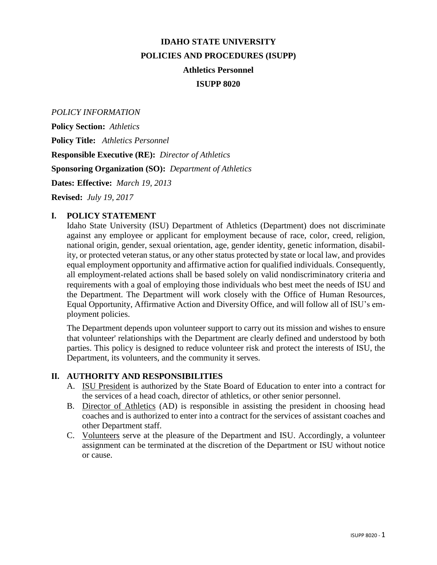# **IDAHO STATE UNIVERSITY POLICIES AND PROCEDURES (ISUPP) Athletics Personnel ISUPP 8020**

*POLICY INFORMATION*

**Policy Section:** *Athletics* **Policy Title:** *Athletics Personnel* **Responsible Executive (RE):** *Director of Athletics* **Sponsoring Organization (SO):** *Department of Athletics* **Dates: Effective:** *March 19, 2013*

**Revised:** *July 19, 2017*

## **I. POLICY STATEMENT**

Idaho State University (ISU) Department of Athletics (Department) does not discriminate against any employee or applicant for employment because of race, color, creed, religion, national origin, gender, sexual orientation, age, gender identity, genetic information, disability, or protected veteran status, or any other status protected by state or local law, and provides equal employment opportunity and affirmative action for qualified individuals. Consequently, all employment-related actions shall be based solely on valid nondiscriminatory criteria and requirements with a goal of employing those individuals who best meet the needs of ISU and the Department. The Department will work closely with the Office of Human Resources, Equal Opportunity, Affirmative Action and Diversity Office, and will follow all of ISU's employment policies.

The Department depends upon volunteer support to carry out its mission and wishes to ensure that volunteer' relationships with the Department are clearly defined and understood by both parties. This policy is designed to reduce volunteer risk and protect the interests of ISU, the Department, its volunteers, and the community it serves.

## **II. AUTHORITY AND RESPONSIBILITIES**

- A. ISU President is authorized by the State Board of Education to enter into a contract for the services of a head coach, director of athletics, or other senior personnel.
- B. Director of Athletics (AD) is responsible in assisting the president in choosing head coaches and is authorized to enter into a contract for the services of assistant coaches and other Department staff.
- C. Volunteers serve at the pleasure of the Department and ISU. Accordingly, a volunteer assignment can be terminated at the discretion of the Department or ISU without notice or cause.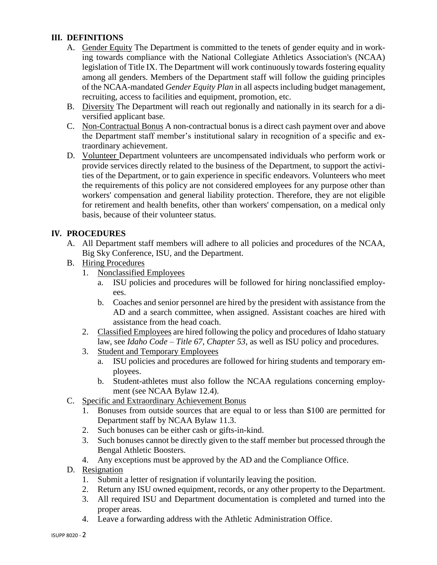## **III. DEFINITIONS**

- A. Gender Equity The Department is committed to the tenets of gender equity and in working towards compliance with the National Collegiate Athletics Association's (NCAA) legislation of Title IX. The Department will work continuously towards fostering equality among all genders. Members of the Department staff will follow the guiding principles of the NCAA-mandated *Gender Equity Plan* in all aspects including budget management, recruiting, access to facilities and equipment, promotion, etc.
- B. Diversity The Department will reach out regionally and nationally in its search for a diversified applicant base.
- C. Non-Contractual Bonus A non-contractual bonus is a direct cash payment over and above the Department staff member's institutional salary in recognition of a specific and extraordinary achievement.
- D. Volunteer Department volunteers are uncompensated individuals who perform work or provide services directly related to the business of the Department, to support the activities of the Department, or to gain experience in specific endeavors. Volunteers who meet the requirements of this policy are not considered employees for any purpose other than workers' compensation and general liability protection. Therefore, they are not eligible for retirement and health benefits, other than workers' compensation, on a medical only basis, because of their volunteer status.

## **IV. PROCEDURES**

- A. All Department staff members will adhere to all policies and procedures of the NCAA, Big Sky Conference, ISU, and the Department.
- B. Hiring Procedures
	- 1. Nonclassified Employees
		- a. ISU policies and procedures will be followed for hiring nonclassified employees.
		- b. Coaches and senior personnel are hired by the president with assistance from the AD and a search committee, when assigned. Assistant coaches are hired with assistance from the head coach.
	- 2. Classified Employees are hired following the policy and procedures of Idaho statuary law, see *Idaho Code – Title 67, Chapter 53*, as well as ISU policy and procedures.
	- 3. Student and Temporary Employees
		- a. ISU policies and procedures are followed for hiring students and temporary employees.
		- b. Student-athletes must also follow the NCAA regulations concerning employment (see NCAA Bylaw 12.4).
- C. Specific and Extraordinary Achievement Bonus
	- 1. Bonuses from outside sources that are equal to or less than \$100 are permitted for Department staff by NCAA Bylaw 11.3.
	- 2. Such bonuses can be either cash or gifts-in-kind.
	- 3. Such bonuses cannot be directly given to the staff member but processed through the Bengal Athletic Boosters.
	- 4. Any exceptions must be approved by the AD and the Compliance Office.
- D. Resignation
	- 1. Submit a letter of resignation if voluntarily leaving the position.
	- 2. Return any ISU owned equipment, records, or any other property to the Department.
	- 3. All required ISU and Department documentation is completed and turned into the proper areas.
	- 4. Leave a forwarding address with the Athletic Administration Office.